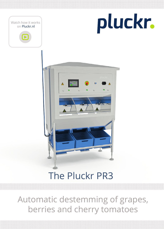

## The Pluckr PR3

Automatic destemming of grapes, berries and cherry tomatoes